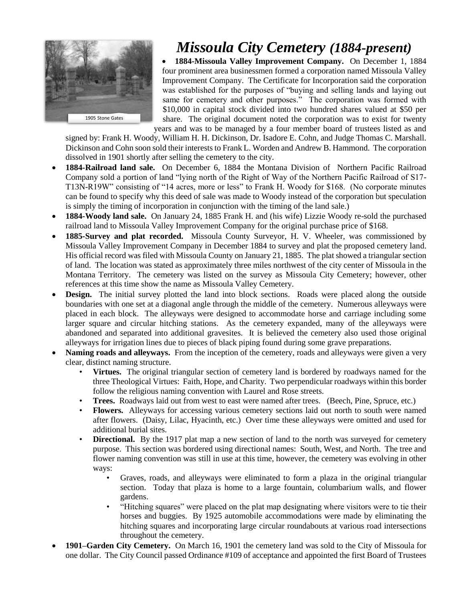

## *Missoula City Cemetery (1884-present)*

 **1884-Missoula Valley Improvement Company.** On December 1, 1884 four prominent area businessmen formed a corporation named Missoula Valley Improvement Company. The Certificate for Incorporation said the corporation was established for the purposes of "buying and selling lands and laying out same for cemetery and other purposes." The corporation was formed with \$10,000 in capital stock divided into two hundred shares valued at \$50 per share. The original document noted the corporation was to exist for twenty years and was to be managed by a four member board of trustees listed as and

signed by: Frank H. Woody, William H. H. Dickinson, Dr. Isadore E. Cohn, and Judge Thomas C. Marshall. Dickinson and Cohn soon sold their interests to Frank L. Worden and Andrew B. Hammond. The corporation dissolved in 1901 shortly after selling the cemetery to the city.

- **1884-Railroad land sale.** On December 6, 1884 the Montana Division of Northern Pacific Railroad Company sold a portion of land "lying north of the Right of Way of the Northern Pacific Railroad of S17- T13N-R19W" consisting of "14 acres, more or less" to Frank H. Woody for \$168. (No corporate minutes can be found to specify why this deed of sale was made to Woody instead of the corporation but speculation is simply the timing of incorporation in conjunction with the timing of the land sale.)
- **1884-Woody land sale.** On January 24, 1885 Frank H. and (his wife) Lizzie Woody re-sold the purchased railroad land to Missoula Valley Improvement Company for the original purchase price of \$168.
- **1885-Survey and plat recorded.** Missoula County Surveyor, H. V. Wheeler, was commissioned by Missoula Valley Improvement Company in December 1884 to survey and plat the proposed cemetery land. His official record was filed with Missoula County on January 21, 1885. The plat showed a triangular section of land. The location was stated as approximately three miles northwest of the city center of Missoula in the Montana Territory. The cemetery was listed on the survey as Missoula City Cemetery; however, other references at this time show the name as Missoula Valley Cemetery.
- **Design.** The initial survey plotted the land into block sections. Roads were placed along the outside boundaries with one set at a diagonal angle through the middle of the cemetery. Numerous alleyways were placed in each block. The alleyways were designed to accommodate horse and carriage including some larger square and circular hitching stations. As the cemetery expanded, many of the alleyways were abandoned and separated into additional gravesites. It is believed the cemetery also used those original alleyways for irrigation lines due to pieces of black piping found during some grave preparations.
- **Naming roads and alleyways.** From the inception of the cemetery, roads and alleyways were given a very clear, distinct naming structure.
	- **Virtues.** The original triangular section of cemetery land is bordered by roadways named for the three Theological Virtues: Faith, Hope, and Charity. Two perpendicular roadways within this border follow the religious naming convention with Laurel and Rose streets.
	- **Trees.** Roadways laid out from west to east were named after trees. (Beech, Pine, Spruce, etc.)
	- **Flowers.** Alleyways for accessing various cemetery sections laid out north to south were named after flowers. (Daisy, Lilac, Hyacinth, etc.) Over time these alleyways were omitted and used for additional burial sites.
	- **Directional.** By the 1917 plat map a new section of land to the north was surveyed for cemetery purpose. This section was bordered using directional names: South, West, and North. The tree and flower naming convention was still in use at this time, however, the cemetery was evolving in other ways:
		- Graves, roads, and alleyways were eliminated to form a plaza in the original triangular section. Today that plaza is home to a large fountain, columbarium walls, and flower gardens.
		- "Hitching squares" were placed on the plat map designating where visitors were to tie their horses and buggies. By 1925 automobile accommodations were made by eliminating the hitching squares and incorporating large circular roundabouts at various road intersections throughout the cemetery.
- **1901–Garden City Cemetery.** On March 16, 1901 the cemetery land was sold to the City of Missoula for one dollar. The City Council passed Ordinance #109 of acceptance and appointed the first Board of Trustees